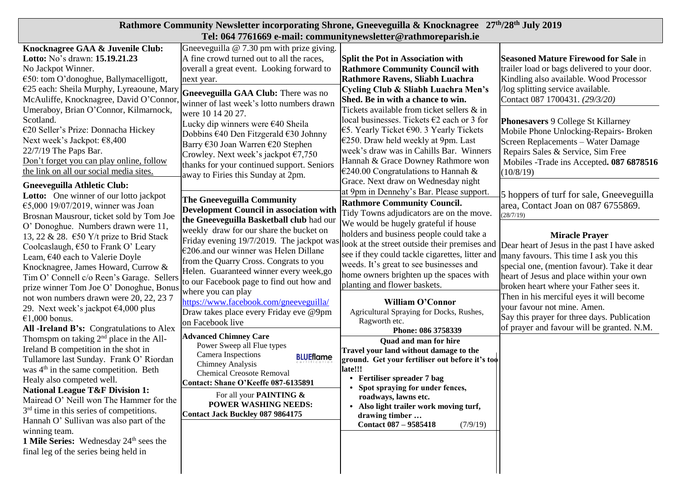| Rathmore Community Newsletter incorporating Shrone, Gneeveguilla & Knocknagree 27 <sup>th</sup> /28 <sup>th</sup> July 2019                                                                                                                                                                                                                                                                                                                                                                                                                                                                                                                                                                                                                                                                                                                                                                                                                                                                                                                                                                                                                                                                            |                                                                                                                                                                                                                                                                                                                                                                                                                                                                                                                                                                                                                    |                                                                                                                                                                                                                                                                                                                                                                                                                                                                                                                                                                                                                                      |                                                                                                                                                                                                                                                                                                                                                                                                                                                                                                                                           |  |  |  |
|--------------------------------------------------------------------------------------------------------------------------------------------------------------------------------------------------------------------------------------------------------------------------------------------------------------------------------------------------------------------------------------------------------------------------------------------------------------------------------------------------------------------------------------------------------------------------------------------------------------------------------------------------------------------------------------------------------------------------------------------------------------------------------------------------------------------------------------------------------------------------------------------------------------------------------------------------------------------------------------------------------------------------------------------------------------------------------------------------------------------------------------------------------------------------------------------------------|--------------------------------------------------------------------------------------------------------------------------------------------------------------------------------------------------------------------------------------------------------------------------------------------------------------------------------------------------------------------------------------------------------------------------------------------------------------------------------------------------------------------------------------------------------------------------------------------------------------------|--------------------------------------------------------------------------------------------------------------------------------------------------------------------------------------------------------------------------------------------------------------------------------------------------------------------------------------------------------------------------------------------------------------------------------------------------------------------------------------------------------------------------------------------------------------------------------------------------------------------------------------|-------------------------------------------------------------------------------------------------------------------------------------------------------------------------------------------------------------------------------------------------------------------------------------------------------------------------------------------------------------------------------------------------------------------------------------------------------------------------------------------------------------------------------------------|--|--|--|
| Tel: 064 7761669 e-mail: communitynewsletter@rathmoreparish.ie                                                                                                                                                                                                                                                                                                                                                                                                                                                                                                                                                                                                                                                                                                                                                                                                                                                                                                                                                                                                                                                                                                                                         |                                                                                                                                                                                                                                                                                                                                                                                                                                                                                                                                                                                                                    |                                                                                                                                                                                                                                                                                                                                                                                                                                                                                                                                                                                                                                      |                                                                                                                                                                                                                                                                                                                                                                                                                                                                                                                                           |  |  |  |
| Knocknagree GAA & Juvenile Club:<br>Lotto: No's drawn: 15.19.21.23<br>No Jackpot Winner.<br>€50: tom O'donoghue, Ballymacelligott,<br>€25 each: Sheila Murphy, Lyreaoune, Mary<br>McAuliffe, Knocknagree, David O'Connor<br>Umeraboy, Brian O'Connor, Kilmarnock,<br>Scotland.<br>€20 Seller's Prize: Donnacha Hickey<br>Next week's Jackpot: €8,400<br>22/7/19 The Paps Bar.<br>Don't forget you can play online, follow                                                                                                                                                                                                                                                                                                                                                                                                                                                                                                                                                                                                                                                                                                                                                                              | Gneeveguilla @ 7.30 pm with prize giving.<br>A fine crowd turned out to all the races,<br>overall a great event. Looking forward to<br>next year.<br>Gneeveguilla GAA Club: There was no<br>winner of last week's lotto numbers drawn<br>were 10 14 20 27.<br>Lucky dip winners were €40 Sheila<br>Dobbins €40 Den Fitzgerald €30 Johnny<br>Barry €30 Joan Warren €20 Stephen<br>Crowley. Next week's jackpot $\epsilon$ 7,750                                                                                                                                                                                     | <b>Split the Pot in Association with</b><br><b>Rathmore Community Council with</b><br>Rathmore Ravens, Sliabh Luachra<br>Cycling Club & Sliabh Luachra Men's<br>Shed. Be in with a chance to win.<br>Tickets available from ticket sellers & in<br>local businesses. Tickets €2 each or 3 for<br>$€5$ . Yearly Ticket €90. 3 Yearly Tickets<br>€250. Draw held weekly at 9pm. Last<br>week's draw was in Cahills Bar. Winners<br>Hannah & Grace Downey Rathmore won                                                                                                                                                                  | <b>Seasoned Mature Firewood for Sale in</b><br>trailer load or bags delivered to your door.<br>Kindling also available. Wood Processor<br>log splitting service available.<br>Contact 087 1700431. (29/3/20)<br><b>Phonesavers 9 College St Killarney</b><br>Mobile Phone Unlocking-Repairs- Broken<br>Screen Replacements - Water Damage<br>Repairs Sales & Service, Sim Free<br>Mobiles -Trade ins Accepted. 087 6878516                                                                                                                |  |  |  |
| the link on all our social media sites.<br><b>Gneeveguilla Athletic Club:</b><br>Lotto: One winner of our lotto jackpot<br>€5,000 19/07/2019, winner was Joan<br>Brosnan Mausrour, ticket sold by Tom Joe<br>O' Donoghue. Numbers drawn were 11,<br>13, 22 & 28. $\epsilon$ 50 Y/t prize to Brid Stack<br>Coolcaslaugh, €50 to Frank O' Leary<br>Leam, €40 each to Valerie Doyle<br>Knocknagree, James Howard, Currow &<br>Tim O' Connell c/o Reen's Garage. Sellers<br>prize winner Tom Joe O' Donoghue, Bonu<br>not won numbers drawn were 20, 22, 23 7<br>29. Next week's jackpot $\epsilon$ 4,000 plus<br>€1,000 bonus.<br>All -Ireland B's: Congratulations to Alex<br>Thomspm on taking $2nd$ place in the All-<br>Ireland B competition in the shot in<br>Tullamore last Sunday. Frank O' Riordan<br>was 4 <sup>th</sup> in the same competition. Beth<br>Healy also competed well.<br><b>National League T&amp;F Division 1:</b><br>Mairead O' Neill won The Hammer for the<br>3 <sup>rd</sup> time in this series of competitions.<br>Hannah O' Sullivan was also part of the<br>winning team.<br>1 Mile Series: Wednesday 24 <sup>th</sup> sees the<br>final leg of the series being held in | thanks for your continued support. Seniors<br>away to Firies this Sunday at 2pm.<br><b>The Gneeveguilla Community</b><br><b>Development Council in association with</b><br>the Gneeveguilla Basketball club had our<br>weekly draw for our share the bucket on<br>Friday evening 19/7/2019. The jackpot was<br>€206.and our winner was Helen Dillane<br>from the Quarry Cross. Congrats to you<br>Helen. Guaranteed winner every week,go<br>to our Facebook page to find out how and<br>where you can play<br>https://www.facebook.com/gneeveguilla/<br>Draw takes place every Friday eve @9pm<br>on Facebook live | €240.00 Congratulations to Hannah &<br>Grace. Next draw on Wednesday night<br>at 9pm in Dennehy's Bar. Please support.<br><b>Rathmore Community Council.</b><br>Tidy Towns adjudicators are on the move.<br>We would be hugely grateful if house<br>holders and business people could take a<br>look at the street outside their premises and<br>see if they could tackle cigarettes, litter and<br>weeds. It's great to see businesses and<br>home owners brighten up the spaces with<br>planting and flower baskets.<br><b>William O'Connor</b><br>Agricultural Spraying for Docks, Rushes,<br>Ragworth etc.<br>Phone: 086 3758339 | (10/8/19)<br>5 hoppers of turf for sale, Gneeveguilla<br>area, Contact Joan on 087 6755869.<br>(28/7/19)<br><b>Miracle Prayer</b><br>Dear heart of Jesus in the past I have asked<br>many favours. This time I ask you this<br>special one, (mention favour). Take it dear<br>heart of Jesus and place within your own<br>broken heart where your Father sees it.<br>Then in his merciful eyes it will become<br>your favour not mine. Amen.<br>Say this prayer for three days. Publication<br>of prayer and favour will be granted. N.M. |  |  |  |
|                                                                                                                                                                                                                                                                                                                                                                                                                                                                                                                                                                                                                                                                                                                                                                                                                                                                                                                                                                                                                                                                                                                                                                                                        | <b>Advanced Chimney Care</b><br>Power Sweep all Flue types<br>Camera Inspections<br><b>BLUEflame</b><br><b>Chimney Analysis</b><br><b>Chemical Creosote Removal</b><br>Contact: Shane O'Keeffe 087-6135891<br>For all your <b>PAINTING &amp;</b><br><b>POWER WASHING NEEDS:</b><br><b>Contact Jack Buckley 087 9864175</b>                                                                                                                                                                                                                                                                                         | Quad and man for hire<br>Travel your land without damage to the<br>ground. Get your fertiliser out before it's too<br>late!!!<br>• Fertiliser spreader 7 bag<br>• Spot spraying for under fences,<br>roadways, lawns etc.<br>• Also light trailer work moving turf,<br>drawing timber<br><b>Contact 087 - 9585418</b><br>(7/9/19)                                                                                                                                                                                                                                                                                                    |                                                                                                                                                                                                                                                                                                                                                                                                                                                                                                                                           |  |  |  |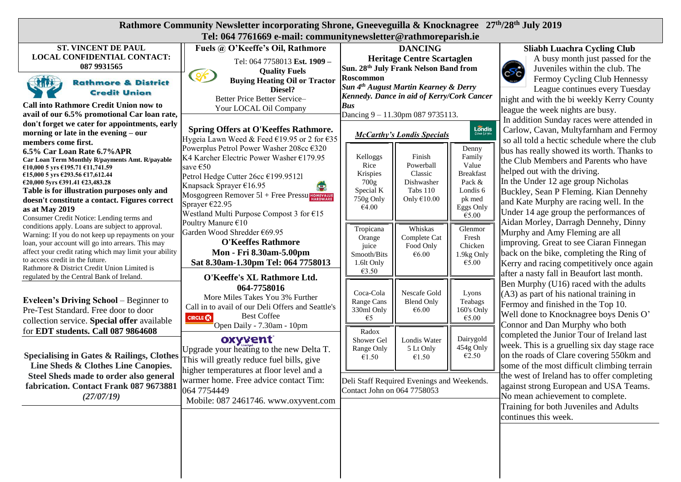| Rathmore Community Newsletter incorporating Shrone, Gneeveguilla & Knocknagree 27 <sup>th</sup> /28 <sup>th</sup> July 2019<br>Tel: 064 7761669 e-mail: communitynewsletter@rathmoreparish.ie                                                                                                                                                       |                                                                                                                                                                                                        |                                                                                                                                |                                                                                 |                                                                                                                                                                                                                                          |  |
|-----------------------------------------------------------------------------------------------------------------------------------------------------------------------------------------------------------------------------------------------------------------------------------------------------------------------------------------------------|--------------------------------------------------------------------------------------------------------------------------------------------------------------------------------------------------------|--------------------------------------------------------------------------------------------------------------------------------|---------------------------------------------------------------------------------|------------------------------------------------------------------------------------------------------------------------------------------------------------------------------------------------------------------------------------------|--|
| <b>ST. VINCENT DE PAUL</b>                                                                                                                                                                                                                                                                                                                          | Fuels @ O'Keeffe's Oil, Rathmore                                                                                                                                                                       | <b>DANCING</b>                                                                                                                 |                                                                                 | <b>Sliabh Luachra Cycling Club</b>                                                                                                                                                                                                       |  |
| <b>LOCAL CONFIDENTIAL CONTACT:</b><br>087 9931565                                                                                                                                                                                                                                                                                                   | Tel: 064 7758013 Est. 1909 -<br><b>Quality Fuels</b>                                                                                                                                                   | <b>Heritage Centre Scartaglen</b><br>Sun. 28th July Frank Nelson Band from                                                     |                                                                                 | A busy month just passed for the<br>Juveniles within the club. The<br>(లాం                                                                                                                                                               |  |
| $\mathcal{L}$<br><b>Rathmore &amp; District</b><br><b>Credit Union</b>                                                                                                                                                                                                                                                                              | $\mathcal{S}$<br><b>Buying Heating Oil or Tractor</b><br>Diesel?                                                                                                                                       | Roscommon<br>Sun 4th August Martin Kearney & Derry<br>Kennedy. Dance in aid of Kerry/Cork Cancer                               |                                                                                 | Fermoy Cycling Club Hennessy<br>League continues every Tuesday                                                                                                                                                                           |  |
| <b>Call into Rathmore Credit Union now to</b><br>avail of our 6.5% promotional Car loan rate,<br>don't forget we cater for appointments, early                                                                                                                                                                                                      | Better Price Better Service-<br>Your LOCAL Oil Company                                                                                                                                                 | <b>Bus</b><br>Dancing $9 - 11.30$ pm 087 9735113.                                                                              |                                                                                 | night and with the bi weekly Kerry County<br>league the week nights are busy.<br>In addition Sunday races were attended in                                                                                                               |  |
| morning or late in the evening – our<br>members come first.<br>6.5% Car Loan Rate 6.7% APR<br>Car Loan Term Monthly R/payments Amt. R/payable                                                                                                                                                                                                       | Spring Offers at O'Keeffes Rathmore.<br>Hygeia Lawn Weed & Feed €19.95 or 2 for €35<br>Powerplus Petrol Power Washer 208cc €320<br>K4 Karcher Electric Power Washer €179.95                            | <b>McCarthy's Londis Specials</b><br>Kelloggs<br>Finish                                                                        | $L\widetilde{\text{ondis}}$<br>Denny<br>Family                                  | Carlow, Cavan, Multyfarnham and Fermoy<br>so all told a hectic schedule where the club<br>bus has really showed its worth. Thanks to<br>the Club Members and Parents who have                                                            |  |
| €10,000 5 yrs €195.71 €11,741.59<br>€15,000 5 yrs €293.56 €17,612.44<br>€20,000 5yrs €391.41 €23,483.28<br>Table is for illustration purposes only and<br>doesn't constitute a contact. Figures correct<br>as at May 2019<br>Consumer Credit Notice: Lending terms and                                                                              | save €50<br>Petrol Hedge Cutter 26cc €199.95121<br>Knapsack Sprayer €16.95<br>Mosgogreen Remover $5l$ + Free Pressu $H_{\text{MARDWAR}}$<br>Sprayer €22.95<br>Westland Multi Purpose Compost 3 for €15 | Rice<br>Powerball<br>Classic<br>Krispies<br>700g<br>Dishwasher<br>Tabs 110<br>Special K<br>Only $€10.00$<br>750g Only<br>€4.00 | Value<br><b>Breakfast</b><br>Pack &<br>Londis 6<br>pk med<br>Eggs Only<br>€5.00 | helped out with the driving.<br>In the Under 12 age group Nicholas<br>Buckley, Sean P Fleming. Kian Dennehy<br>and Kate Murphy are racing well. In the<br>Under 14 age group the performances of<br>Aidan Morley, Darragh Dennehy, Dinny |  |
| conditions apply. Loans are subject to approval.<br>Warning: If you do not keep up repayments on your<br>loan, your account will go into arrears. This may<br>affect your credit rating which may limit your ability<br>to access credit in the future.<br>Rathmore & District Credit Union Limited is<br>regulated by the Central Bank of Ireland. | Poultry Manure €10<br>Garden Wood Shredder €69.95<br><b>O'Keeffes Rathmore</b><br>Mon - Fri 8.30am-5.00pm<br>Sat 8.30am-1.30pm Tel: 064 7758013<br>O'Keeffe's XL Rathmore Ltd.                         | Whiskas<br>Tropicana<br>Complete Cat<br>Orange<br>Food Only<br>juice<br>Smooth/Bits<br>€6.00<br>1.6lt Only<br>€3.50            | Glenmor<br>Fresh<br>Chicken<br>1.9kg Only<br>€5.00                              | Murphy and Amy Fleming are all<br>improving. Great to see Ciaran Finnegan<br>back on the bike, completing the Ring of<br>Kerry and racing competitively once again<br>after a nasty fall in Beaufort last month.                         |  |
| <b>Eveleen's Driving School</b> – Beginner to<br>Pre-Test Standard. Free door to door<br>collection service. Special offer available                                                                                                                                                                                                                | 064-7758016<br>More Miles Takes You 3% Further<br>Call in to avail of our Deli Offers and Seattle's<br><b>Best Coffee</b><br><b>CIRCLE CO</b><br>Open Daily - 7.30am - 10pm                            | Nescafe Gold<br>Coca-Cola<br>Range Cans<br><b>Blend Only</b><br>330ml Only<br>€6.00<br>$\epsilon$ 5                            | Lyons<br>Teabags<br>160's Only<br>€5.00                                         | Ben Murphy (U16) raced with the adults<br>$(A3)$ as part of his national training in<br>Fermoy and finished in the Top 10.<br>Well done to Knocknagree boys Denis O'<br>Connor and Dan Murphy who both                                   |  |
| for EDT students. Call 087 9864608<br>Specialising in Gates & Railings, Clothes<br>Line Sheds & Clothes Line Canopies.                                                                                                                                                                                                                              | oxyvent<br>Upgrade your heating to the new Delta T.<br>This will greatly reduce fuel bills, give<br>higher temperatures at floor level and a                                                           | Radox<br>Londis Water<br>Shower Gel<br>5 Lt Only<br>Range Only<br>€1.50<br>€1.50                                               | Dairygold<br>454g Only<br>€2.50                                                 | completed the Junior Tour of Ireland last<br>week. This is a gruelling six day stage race<br>on the roads of Clare covering 550km and<br>some of the most difficult climbing terrain                                                     |  |
| Steel Sheds made to order also general<br>fabrication. Contact Frank 087 9673881<br>(27/07/19)                                                                                                                                                                                                                                                      | warmer home. Free advice contact Tim:<br>064 7754449<br>Mobile: 087 2461746. www.oxyvent.com                                                                                                           | Deli Staff Required Evenings and Weekends.<br>Contact John on 064 7758053                                                      |                                                                                 | the west of Ireland has to offer completing<br>against strong European and USA Teams.<br>No mean achievement to complete.<br>Training for both Juveniles and Adults<br>continues this week.                                              |  |
|                                                                                                                                                                                                                                                                                                                                                     |                                                                                                                                                                                                        |                                                                                                                                |                                                                                 |                                                                                                                                                                                                                                          |  |